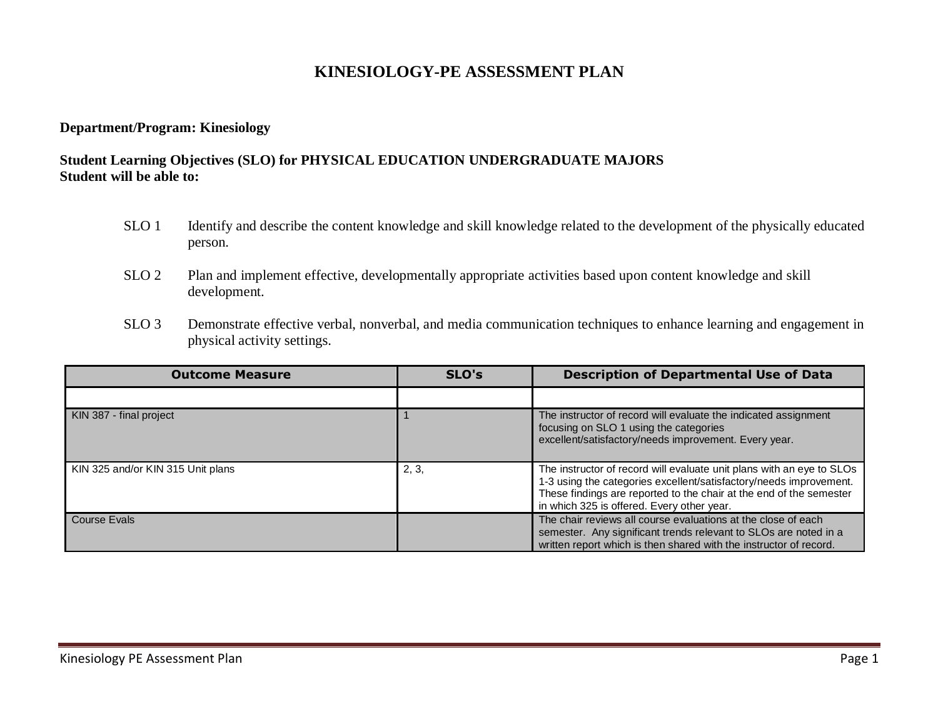# **KINESIOLOGY-PE ASSESSMENT PLAN**

#### **Department/Program: Kinesiology**

### **Student Learning Objectives (SLO) for PHYSICAL EDUCATION UNDERGRADUATE MAJORS Student will be able to:**

- SLO 1 Identify and describe the content knowledge and skill knowledge related to the development of the physically educated person.
- SLO 2 Plan and implement effective, developmentally appropriate activities based upon content knowledge and skill development.
- SLO 3 Demonstrate effective verbal, nonverbal, and media communication techniques to enhance learning and engagement in physical activity settings.

| <b>Outcome Measure</b>            | SLO's | <b>Description of Departmental Use of Data</b>                                                                                                                                                                                                                   |
|-----------------------------------|-------|------------------------------------------------------------------------------------------------------------------------------------------------------------------------------------------------------------------------------------------------------------------|
|                                   |       |                                                                                                                                                                                                                                                                  |
| KIN 387 - final project           |       | The instructor of record will evaluate the indicated assignment<br>focusing on SLO 1 using the categories<br>excellent/satisfactory/needs improvement. Every year.                                                                                               |
| KIN 325 and/or KIN 315 Unit plans | 2, 3, | The instructor of record will evaluate unit plans with an eye to SLOs<br>1-3 using the categories excellent/satisfactory/needs improvement.<br>These findings are reported to the chair at the end of the semester<br>in which 325 is offered. Every other year. |
| Course Evals                      |       | The chair reviews all course evaluations at the close of each<br>semester. Any significant trends relevant to SLOs are noted in a<br>written report which is then shared with the instructor of record.                                                          |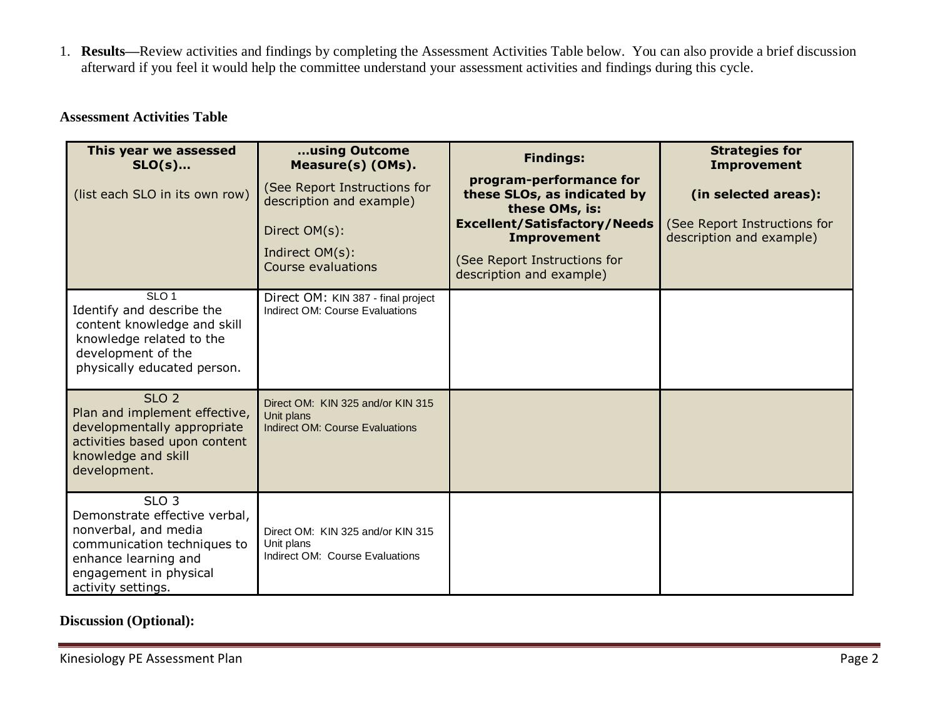1. **Results—**Review activities and findings by completing the Assessment Activities Table below. You can also provide a brief discussion afterward if you feel it would help the committee understand your assessment activities and findings during this cycle.

## **Assessment Activities Table**

| This year we assessed<br>$SLO(s)$<br>(list each SLO in its own row)                                                                                                              | using Outcome<br>Measure(s) (OMs).<br>(See Report Instructions for<br>description and example)<br>Direct OM(s):<br>Indirect OM(s):<br>Course evaluations | <b>Findings:</b><br>program-performance for<br>these SLOs, as indicated by<br>these OMs, is:<br><b>Excellent/Satisfactory/Needs</b><br><b>Improvement</b><br>(See Report Instructions for<br>description and example) | <b>Strategies for</b><br><b>Improvement</b><br>(in selected areas):<br>(See Report Instructions for<br>description and example) |
|----------------------------------------------------------------------------------------------------------------------------------------------------------------------------------|----------------------------------------------------------------------------------------------------------------------------------------------------------|-----------------------------------------------------------------------------------------------------------------------------------------------------------------------------------------------------------------------|---------------------------------------------------------------------------------------------------------------------------------|
| SLO <sub>1</sub><br>Identify and describe the<br>content knowledge and skill<br>knowledge related to the<br>development of the<br>physically educated person.                    | Direct OM: KIN 387 - final project<br>Indirect OM: Course Evaluations                                                                                    |                                                                                                                                                                                                                       |                                                                                                                                 |
| SLO <sub>2</sub><br>Plan and implement effective,<br>developmentally appropriate<br>activities based upon content<br>knowledge and skill<br>development.                         | Direct OM: KIN 325 and/or KIN 315<br>Unit plans<br><b>Indirect OM: Course Evaluations</b>                                                                |                                                                                                                                                                                                                       |                                                                                                                                 |
| SLO <sub>3</sub><br>Demonstrate effective verbal,<br>nonverbal, and media<br>communication techniques to<br>enhance learning and<br>engagement in physical<br>activity settings. | Direct OM: KIN 325 and/or KIN 315<br>Unit plans<br>Indirect OM: Course Evaluations                                                                       |                                                                                                                                                                                                                       |                                                                                                                                 |

### **Discussion (Optional):**